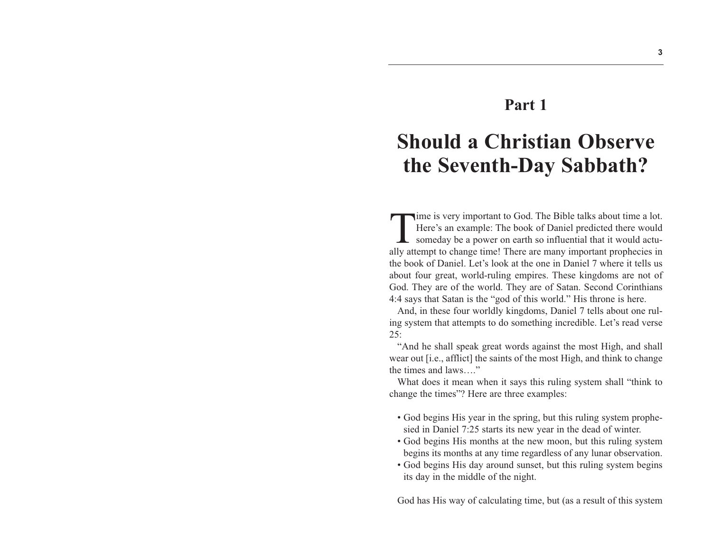## **Part 1**

## **Should a Christian Observe the Seventh-Day Sabbath?**

Time is very important to God. The Bible talks about time a lot. Here's an example: The book of Daniel predicted there would someday be a power on earth so influential that it would actually attempt to change time! There are many important prophecies in the book of Daniel. Let's look at the one in Daniel 7 where it tells us about four great, world-ruling empires. These kingdoms are not of God. They are of the world. They are of Satan. Second Corinthians 4:4 says that Satan is the "god of this world." His throne is here.

And, in these four worldly kingdoms, Daniel 7 tells about one ruling system that attempts to do something incredible. Let's read verse 25:

"And he shall speak great words against the most High, and shall wear out [i.e., afflict] the saints of the most High, and think to change the times and laws…."

What does it mean when it says this ruling system shall "think to change the times"? Here are three examples:

- God begins His year in the spring, but this ruling system prophesied in Daniel 7:25 starts its new year in the dead of winter.
- God begins His months at the new moon, but this ruling system begins its months at any time regardless of any lunar observation.
- God begins His day around sunset, but this ruling system begins its day in the middle of the night.

God has His way of calculating time, but (as a result of this system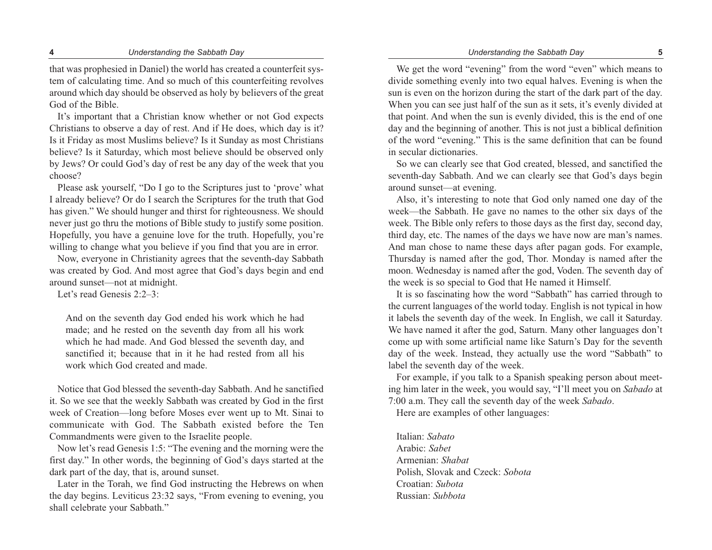#### **4** *Understanding the Sabbath Day Understanding the Sabbath Day* **5**

that was prophesied in Daniel) the world has created a counterfeit system of calculating time. And so much of this counterfeiting revolves around which day should be observed as holy by believers of the great God of the Bible.

It's important that a Christian know whether or not God expects Christians to observe a day of rest. And if He does, which day is it? Is it Friday as most Muslims believe? Is it Sunday as most Christians believe? Is it Saturday, which most believe should be observed only by Jews? Or could God's day of rest be any day of the week that you choose?

Please ask yourself, "Do I go to the Scriptures just to 'prove' what I already believe? Or do I search the Scriptures for the truth that God has given." We should hunger and thirst for righteousness. We should never just go thru the motions of Bible study to justify some position. Hopefully, you have a genuine love for the truth. Hopefully, you're willing to change what you believe if you find that you are in error.

Now, everyone in Christianity agrees that the seventh-day Sabbath was created by God. And most agree that God's days begin and end around sunset—not at midnight.

Let's read Genesis 2:2–3:

And on the seventh day God ended his work which he had made; and he rested on the seventh day from all his work which he had made. And God blessed the seventh day, and sanctified it; because that in it he had rested from all his work which God created and made.

Notice that God blessed the seventh-day Sabbath. And he sanctified it. So we see that the weekly Sabbath was created by God in the first week of Creation—long before Moses ever went up to Mt. Sinai to communicate with God. The Sabbath existed before the Ten Commandments were given to the Israelite people.

Now let's read Genesis 1:5: "The evening and the morning were the first day." In other words, the beginning of God's days started at the dark part of the day, that is, around sunset.

Later in the Torah, we find God instructing the Hebrews on when the day begins. Leviticus 23:32 says, "From evening to evening, you shall celebrate your Sabbath."

We get the word "evening" from the word "even" which means to divide something evenly into two equal halves. Evening is when the sun is even on the horizon during the start of the dark part of the day. When you can see just half of the sun as it sets, it's evenly divided at that point. And when the sun is evenly divided, this is the end of one day and the beginning of another. This is not just a biblical definition of the word "evening." This is the same definition that can be found in secular dictionaries.

So we can clearly see that God created, blessed, and sanctified the seventh-day Sabbath. And we can clearly see that God's days begin around sunset—at evening.

Also, it's interesting to note that God only named one day of the week—the Sabbath. He gave no names to the other six days of the week. The Bible only refers to those days as the first day, second day, third day, etc. The names of the days we have now are man's names. And man chose to name these days after pagan gods. For example, Thursday is named after the god, Thor. Monday is named after the moon. Wednesday is named after the god, Voden. The seventh day of the week is so special to God that He named it Himself.

It is so fascinating how the word "Sabbath" has carried through to the current languages of the world today. English is not typical in how it labels the seventh day of the week. In English, we call it Saturday. We have named it after the god, Saturn. Many other languages don't come up with some artificial name like Saturn's Day for the seventh day of the week. Instead, they actually use the word "Sabbath" to label the seventh day of the week.

For example, if you talk to a Spanish speaking person about meeting him later in the week, you would say, "I'll meet you on *Sabado* at 7:00 a.m. They call the seventh day of the week *Sabado*.

Here are examples of other languages:

Italian: *Sabato* Arabic: *Sabet* Armenian: *Shabat* Polish, Slovak and Czeck: *Sobota* Croatian: *Subota* Russian: *Subbota*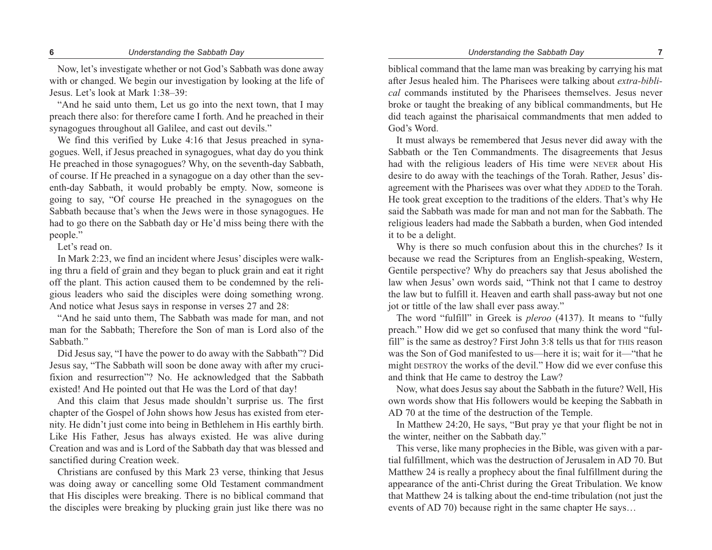Now, let's investigate whether or not God's Sabbath was done away with or changed. We begin our investigation by looking at the life of Jesus. Let's look at Mark 1:38–39:

"And he said unto them, Let us go into the next town, that I may preach there also: for therefore came I forth. And he preached in their synagogues throughout all Galilee, and cast out devils."

We find this verified by Luke 4:16 that Jesus preached in synagogues. Well, if Jesus preached in synagogues, what day do you think He preached in those synagogues? Why, on the seventh-day Sabbath, of course. If He preached in a synagogue on a day other than the seventh-day Sabbath, it would probably be empty. Now, someone is going to say, "Of course He preached in the synagogues on the Sabbath because that's when the Jews were in those synagogues. He had to go there on the Sabbath day or He'd miss being there with the people."

Let's read on.

In Mark 2:23, we find an incident where Jesus' disciples were walking thru a field of grain and they began to pluck grain and eat it right off the plant. This action caused them to be condemned by the religious leaders who said the disciples were doing something wrong. And notice what Jesus says in response in verses 27 and 28:

"And he said unto them, The Sabbath was made for man, and not man for the Sabbath; Therefore the Son of man is Lord also of the Sabbath."

Did Jesus say, "I have the power to do away with the Sabbath"? Did Jesus say, "The Sabbath will soon be done away with after my crucifixion and resurrection"? No. He acknowledged that the Sabbath existed! And He pointed out that He was the Lord of that day!

And this claim that Jesus made shouldn't surprise us. The first chapter of the Gospel of John shows how Jesus has existed from eternity. He didn't just come into being in Bethlehem in His earthly birth. Like His Father, Jesus has always existed. He was alive during Creation and was and is Lord of the Sabbath day that was blessed and sanctified during Creation week.

Christians are confused by this Mark 23 verse, thinking that Jesus was doing away or cancelling some Old Testament commandment that His disciples were breaking. There is no biblical command that the disciples were breaking by plucking grain just like there was no

biblical command that the lame man was breaking by carrying his mat after Jesus healed him. The Pharisees were talking about *extra-biblical* commands instituted by the Pharisees themselves. Jesus never broke or taught the breaking of any biblical commandments, but He did teach against the pharisaical commandments that men added to God's Word.

It must always be remembered that Jesus never did away with the Sabbath or the Ten Commandments. The disagreements that Jesus had with the religious leaders of His time were NEVER about His desire to do away with the teachings of the Torah. Rather, Jesus' disagreement with the Pharisees was over what they ADDED to the Torah. He took great exception to the traditions of the elders. That's why He said the Sabbath was made for man and not man for the Sabbath. The religious leaders had made the Sabbath a burden, when God intended it to be a delight.

Why is there so much confusion about this in the churches? Is it because we read the Scriptures from an English-speaking, Western, Gentile perspective? Why do preachers say that Jesus abolished the law when Jesus' own words said, "Think not that I came to destroy the law but to fulfill it. Heaven and earth shall pass-away but not one jot or tittle of the law shall ever pass away."

The word "fulfill" in Greek is *pleroo* (4137). It means to "fully preach." How did we get so confused that many think the word "fulfill" is the same as destroy? First John 3:8 tells us that for THIS reason was the Son of God manifested to us—here it is; wait for it—"that he might DESTROY the works of the devil." How did we ever confuse this and think that He came to destroy the Law?

Now, what does Jesus say about the Sabbath in the future? Well, His own words show that His followers would be keeping the Sabbath in AD 70 at the time of the destruction of the Temple.

In Matthew 24:20, He says, "But pray ye that your flight be not in the winter, neither on the Sabbath day."

This verse, like many prophecies in the Bible, was given with a partial fulfillment, which was the destruction of Jerusalem in AD 70. But Matthew 24 is really a prophecy about the final fulfillment during the appearance of the anti-Christ during the Great Tribulation. We know that Matthew 24 is talking about the end-time tribulation (not just the events of AD 70) because right in the same chapter He says…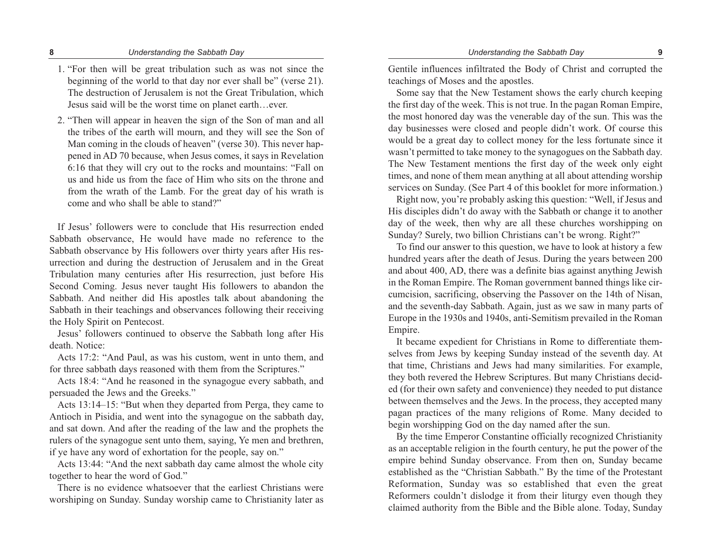- 1. "For then will be great tribulation such as was not since the beginning of the world to that day nor ever shall be" (verse 21). The destruction of Jerusalem is not the Great Tribulation, which Jesus said will be the worst time on planet earth…ever.
- 2. "Then will appear in heaven the sign of the Son of man and all the tribes of the earth will mourn, and they will see the Son of Man coming in the clouds of heaven" (verse 30). This never happened in AD 70 because, when Jesus comes, it says in Revelation 6:16 that they will cry out to the rocks and mountains: "Fall on us and hide us from the face of Him who sits on the throne and from the wrath of the Lamb. For the great day of his wrath is come and who shall be able to stand?"

If Jesus' followers were to conclude that His resurrection ended Sabbath observance, He would have made no reference to the Sabbath observance by His followers over thirty years after His resurrection and during the destruction of Jerusalem and in the Great Tribulation many centuries after His resurrection, just before His Second Coming. Jesus never taught His followers to abandon the Sabbath. And neither did His apostles talk about abandoning the Sabbath in their teachings and observances following their receiving the Holy Spirit on Pentecost.

Jesus' followers continued to observe the Sabbath long after His death. Notice:

Acts 17:2: "And Paul, as was his custom, went in unto them, and for three sabbath days reasoned with them from the Scriptures."

Acts 18:4: "And he reasoned in the synagogue every sabbath, and persuaded the Jews and the Greeks."

Acts 13:14–15: "But when they departed from Perga, they came to Antioch in Pisidia, and went into the synagogue on the sabbath day, and sat down. And after the reading of the law and the prophets the rulers of the synagogue sent unto them, saying, Ye men and brethren, if ye have any word of exhortation for the people, say on."

Acts 13:44: "And the next sabbath day came almost the whole city together to hear the word of God."

There is no evidence whatsoever that the earliest Christians were worshiping on Sunday. Sunday worship came to Christianity later as

Gentile influences infiltrated the Body of Christ and corrupted the teachings of Moses and the apostles.

Some say that the New Testament shows the early church keeping the first day of the week. This is not true. In the pagan Roman Empire, the most honored day was the venerable day of the sun. This was the day businesses were closed and people didn't work. Of course this would be a great day to collect money for the less fortunate since it wasn't permitted to take money to the synagogues on the Sabbath day. The New Testament mentions the first day of the week only eight times, and none of them mean anything at all about attending worship services on Sunday. (See Part 4 of this booklet for more information.)

Right now, you're probably asking this question: "Well, if Jesus and His disciples didn't do away with the Sabbath or change it to another day of the week, then why are all these churches worshipping on Sunday? Surely, two billion Christians can't be wrong. Right?"

To find our answer to this question, we have to look at history a few hundred years after the death of Jesus. During the years between 200 and about 400, AD, there was a definite bias against anything Jewish in the Roman Empire. The Roman government banned things like circumcision, sacrificing, observing the Passover on the 14th of Nisan, and the seventh-day Sabbath. Again, just as we saw in many parts of Europe in the 1930s and 1940s, anti-Semitism prevailed in the Roman Empire.

It became expedient for Christians in Rome to differentiate themselves from Jews by keeping Sunday instead of the seventh day. At that time, Christians and Jews had many similarities. For example, they both revered the Hebrew Scriptures. But many Christians decided (for their own safety and convenience) they needed to put distance between themselves and the Jews. In the process, they accepted many pagan practices of the many religions of Rome. Many decided to begin worshipping God on the day named after the sun.

By the time Emperor Constantine officially recognized Christianity as an acceptable religion in the fourth century, he put the power of the empire behind Sunday observance. From then on, Sunday became established as the "Christian Sabbath." By the time of the Protestant Reformation, Sunday was so established that even the great Reformers couldn't dislodge it from their liturgy even though they claimed authority from the Bible and the Bible alone. Today, Sunday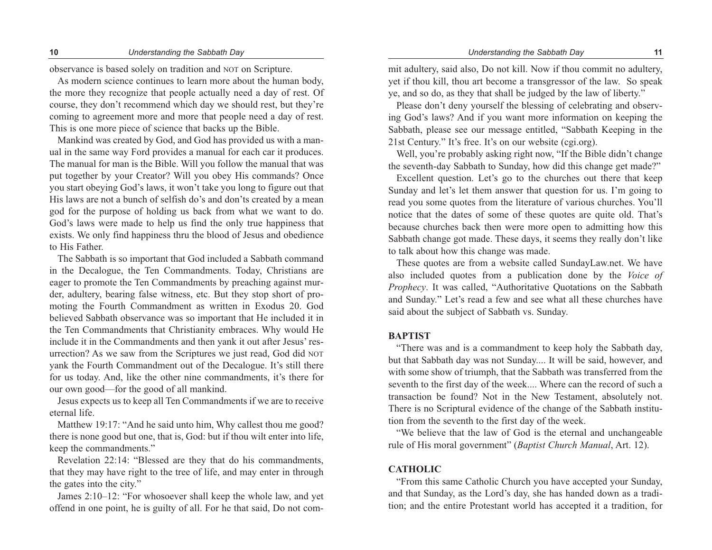### **10** *Understanding the Sabbath Day Understanding the Sabbath Day* **11**

observance is based solely on tradition and NOT on Scripture.

As modern science continues to learn more about the human body, the more they recognize that people actually need a day of rest. Of course, they don't recommend which day we should rest, but they're coming to agreement more and more that people need a day of rest. This is one more piece of science that backs up the Bible.

Mankind was created by God, and God has provided us with a manual in the same way Ford provides a manual for each car it produces. The manual for man is the Bible. Will you follow the manual that was put together by your Creator? Will you obey His commands? Once you start obeying God's laws, it won't take you long to figure out that His laws are not a bunch of selfish do's and don'ts created by a mean god for the purpose of holding us back from what we want to do. God's laws were made to help us find the only true happiness that exists. We only find happiness thru the blood of Jesus and obedience to His Father.

The Sabbath is so important that God included a Sabbath command in the Decalogue, the Ten Commandments. Today, Christians are eager to promote the Ten Commandments by preaching against murder, adultery, bearing false witness, etc. But they stop short of promoting the Fourth Commandment as written in Exodus 20. God believed Sabbath observance was so important that He included it in the Ten Commandments that Christianity embraces. Why would He include it in the Commandments and then yank it out after Jesus' resurrection? As we saw from the Scriptures we just read, God did NOT yank the Fourth Commandment out of the Decalogue. It's still there for us today. And, like the other nine commandments, it's there for our own good—for the good of all mankind.

Jesus expects us to keep all Ten Commandments if we are to receive eternal life.

Matthew 19:17: "And he said unto him, Why callest thou me good? there is none good but one, that is, God: but if thou wilt enter into life, keep the commandments."

Revelation 22:14: "Blessed are they that do his commandments, that they may have right to the tree of life, and may enter in through the gates into the city."

James 2:10–12: "For whosoever shall keep the whole law, and yet offend in one point, he is guilty of all. For he that said, Do not com-

mit adultery, said also, Do not kill. Now if thou commit no adultery, yet if thou kill, thou art become a transgressor of the law. So speak ye, and so do, as they that shall be judged by the law of liberty."

Please don't deny yourself the blessing of celebrating and observing God's laws? And if you want more information on keeping the Sabbath, please see our message entitled, "Sabbath Keeping in the 21st Century." It's free. It's on our website (cgi.org).

Well, you're probably asking right now, "If the Bible didn't change the seventh-day Sabbath to Sunday, how did this change get made?"

Excellent question. Let's go to the churches out there that keep Sunday and let's let them answer that question for us. I'm going to read you some quotes from the literature of various churches. You'll notice that the dates of some of these quotes are quite old. That's because churches back then were more open to admitting how this Sabbath change got made. These days, it seems they really don't like to talk about how this change was made.

These quotes are from a website called SundayLaw.net. We have also included quotes from a publication done by the *Voice of Prophecy*. It was called, "Authoritative Quotations on the Sabbath and Sunday." Let's read a few and see what all these churches have said about the subject of Sabbath vs. Sunday.

### **BAPTIST**

"There was and is a commandment to keep holy the Sabbath day, but that Sabbath day was not Sunday.... It will be said, however, and with some show of triumph, that the Sabbath was transferred from the seventh to the first day of the week.... Where can the record of such a transaction be found? Not in the New Testament, absolutely not. There is no Scriptural evidence of the change of the Sabbath institution from the seventh to the first day of the week.

"We believe that the law of God is the eternal and unchangeable rule of His moral government" (*Baptist Church Manual*, Art. 12).

### **CATHOLIC**

"From this same Catholic Church you have accepted your Sunday, and that Sunday, as the Lord's day, she has handed down as a tradition; and the entire Protestant world has accepted it a tradition, for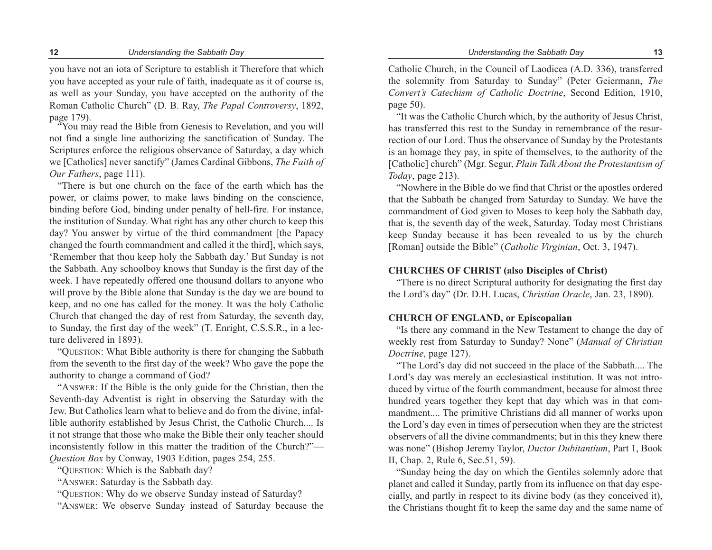you have not an iota of Scripture to establish it Therefore that which you have accepted as your rule of faith, inadequate as it of course is, as well as your Sunday, you have accepted on the authority of the Roman Catholic Church" (D. B. Ray, *The Papal Controversy*, 1892, page 179). "You may read the Bible from Genesis to Revelation, and you will

not find a single line authorizing the sanctification of Sunday. The Scriptures enforce the religious observance of Saturday, a day which we [Catholics] never sanctify" (James Cardinal Gibbons, *The Faith of Our Fathers*, page 111).

"There is but one church on the face of the earth which has the power, or claims power, to make laws binding on the conscience, binding before God, binding under penalty of hell-fire. For instance, the institution of Sunday. What right has any other church to keep this day? You answer by virtue of the third commandment [the Papacy changed the fourth commandment and called it the third], which says, 'Remember that thou keep holy the Sabbath day.' But Sunday is not the Sabbath. Any schoolboy knows that Sunday is the first day of the week. I have repeatedly offered one thousand dollars to anyone who will prove by the Bible alone that Sunday is the day we are bound to keep, and no one has called for the money. It was the holy Catholic Church that changed the day of rest from Saturday, the seventh day, to Sunday, the first day of the week" (T. Enright, C.S.S.R., in a lecture delivered in 1893).

"QUESTION: What Bible authority is there for changing the Sabbath from the seventh to the first day of the week? Who gave the pope the authority to change a command of God?

"ANSWER: If the Bible is the only guide for the Christian, then the Seventh-day Adventist is right in observing the Saturday with the Jew. But Catholics learn what to believe and do from the divine, infallible authority established by Jesus Christ, the Catholic Church.... Is it not strange that those who make the Bible their only teacher should inconsistently follow in this matter the tradition of the Church?"— *Question Box* by Conway, 1903 Edition, pages 254, 255.

"QUESTION: Which is the Sabbath day?

"ANSWER: Saturday is the Sabbath day.

"QUESTION: Why do we observe Sunday instead of Saturday?

"ANSWER: We observe Sunday instead of Saturday because the

Catholic Church, in the Council of Laodicea (A.D. 336), transferred the solemnity from Saturday to Sunday" (Peter Geiermann, *The Convert's Catechism of Catholic Doctrine*, Second Edition, 1910, page 50).

"It was the Catholic Church which, by the authority of Jesus Christ, has transferred this rest to the Sunday in remembrance of the resurrection of our Lord. Thus the observance of Sunday by the Protestants is an homage they pay, in spite of themselves, to the authority of the [Catholic] church" (Mgr. Segur, *Plain Talk About the Protestantism of Today*, page 213).

"Nowhere in the Bible do we find that Christ or the apostles ordered that the Sabbath be changed from Saturday to Sunday. We have the commandment of God given to Moses to keep holy the Sabbath day, that is, the seventh day of the week, Saturday. Today most Christians keep Sunday because it has been revealed to us by the church [Roman] outside the Bible" (*Catholic Virginian*, Oct. 3, 1947).

### **CHURCHES OF CHRIST (also Disciples of Christ)**

"There is no direct Scriptural authority for designating the first day the Lord's day" (Dr. D.H. Lucas, *Christian Oracle*, Jan. 23, 1890).

### **CHURCH OF ENGLAND, or Episcopalian**

"Is there any command in the New Testament to change the day of weekly rest from Saturday to Sunday? None" (*Manual of Christian Doctrine*, page 127).

"The Lord's day did not succeed in the place of the Sabbath.... The Lord's day was merely an ecclesiastical institution. It was not introduced by virtue of the fourth commandment, because for almost three hundred years together they kept that day which was in that commandment.... The primitive Christians did all manner of works upon the Lord's day even in times of persecution when they are the strictest observers of all the divine commandments; but in this they knew there was none" (Bishop Jeremy Taylor, *Ductor Dubitantium*, Part 1, Book II, Chap. 2, Rule 6, Sec.51, 59).

"Sunday being the day on which the Gentiles solemnly adore that planet and called it Sunday, partly from its influence on that day especially, and partly in respect to its divine body (as they conceived it), the Christians thought fit to keep the same day and the same name of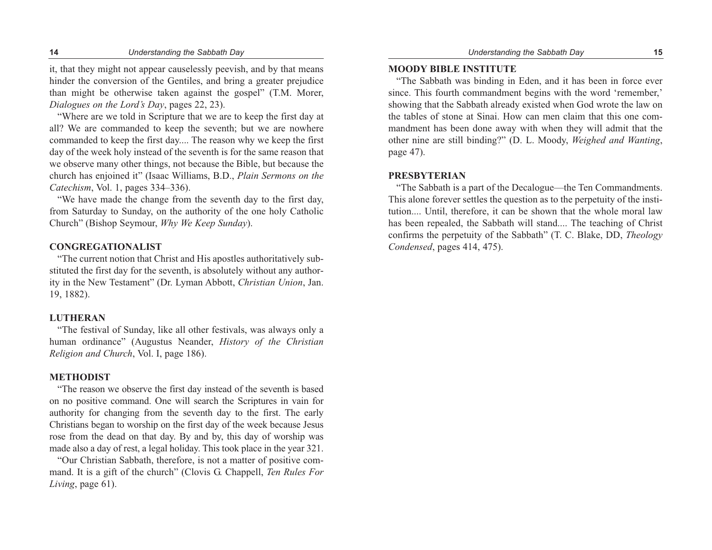it, that they might not appear causelessly peevish, and by that means hinder the conversion of the Gentiles, and bring a greater prejudice than might be otherwise taken against the gospel" (T.M. Morer, *Dialogues on the Lord's Day*, pages 22, 23).

"Where are we told in Scripture that we are to keep the first day at all? We are commanded to keep the seventh; but we are nowhere commanded to keep the first day.... The reason why we keep the first day of the week holy instead of the seventh is for the same reason that we observe many other things, not because the Bible, but because the church has enjoined it" (Isaac Williams, B.D., *Plain Sermons on the Catechism*, Vol. 1, pages 334–336).

"We have made the change from the seventh day to the first day, from Saturday to Sunday, on the authority of the one holy Catholic Church" (Bishop Seymour, *Why We Keep Sunday*).

### **CONGREGATIONALIST**

"The current notion that Christ and His apostles authoritatively substituted the first day for the seventh, is absolutely without any authority in the New Testament" (Dr. Lyman Abbott, *Christian Union*, Jan. 19, 1882).

### **LUTHERAN**

"The festival of Sunday, like all other festivals, was always only a human ordinance" (Augustus Neander, *History of the Christian Religion and Church*, Vol. I, page 186).

### **METHODIST**

"The reason we observe the first day instead of the seventh is based on no positive command. One will search the Scriptures in vain for authority for changing from the seventh day to the first. The early Christians began to worship on the first day of the week because Jesus rose from the dead on that day. By and by, this day of worship was made also a day of rest, a legal holiday. This took place in the year 321.

"Our Christian Sabbath, therefore, is not a matter of positive command. It is a gift of the church" (Clovis G. Chappell, *Ten Rules For Living*, page 61).

### **MOODY BIBLE INSTITUTE**

"The Sabbath was binding in Eden, and it has been in force ever since. This fourth commandment begins with the word 'remember,' showing that the Sabbath already existed when God wrote the law on the tables of stone at Sinai. How can men claim that this one commandment has been done away with when they will admit that the other nine are still binding?" (D. L. Moody, *Weighed and Wanting*, page 47).

### **PRESBYTERIAN**

"The Sabbath is a part of the Decalogue—the Ten Commandments. This alone forever settles the question as to the perpetuity of the institution.... Until, therefore, it can be shown that the whole moral law has been repealed, the Sabbath will stand.... The teaching of Christ confirms the perpetuity of the Sabbath" (T. C. Blake, DD, *Theology Condensed*, pages 414, 475).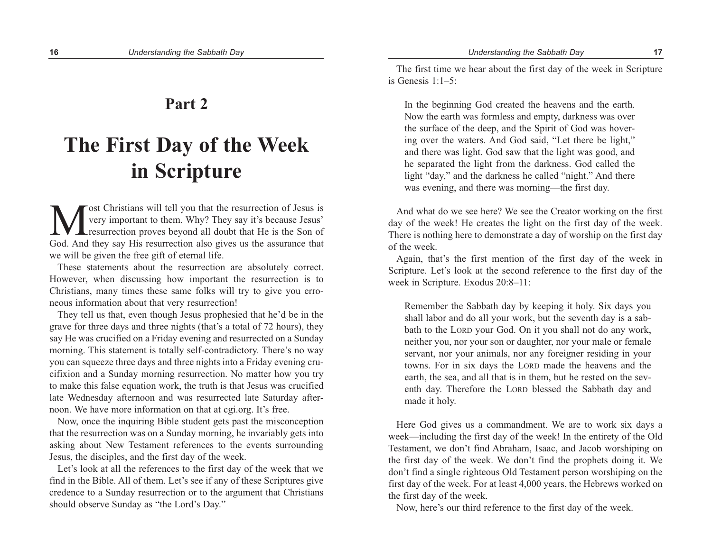### **Part 2**

# **The First Day of the Week in Scripture**

**M** ost Christians will tell you that the resurrection of Jesus is<br>
very important to them. Why? They say it's because Jesus'<br>
God And they say His resurrection also gives us the assurance that very important to them. Why? They say it's because Jesus' resurrection proves beyond all doubt that He is the Son of God. And they say His resurrection also gives us the assurance that we will be given the free gift of eternal life.

These statements about the resurrection are absolutely correct. However, when discussing how important the resurrection is to Christians, many times these same folks will try to give you erroneous information about that very resurrection!

They tell us that, even though Jesus prophesied that he'd be in the grave for three days and three nights (that's a total of 72 hours), they say He was crucified on a Friday evening and resurrected on a Sunday morning. This statement is totally self-contradictory. There's no way you can squeeze three days and three nights into a Friday evening crucifixion and a Sunday morning resurrection. No matter how you try to make this false equation work, the truth is that Jesus was crucified late Wednesday afternoon and was resurrected late Saturday afternoon. We have more information on that at cgi.org. It's free.

Now, once the inquiring Bible student gets past the misconception that the resurrection was on a Sunday morning, he invariably gets into asking about New Testament references to the events surrounding Jesus, the disciples, and the first day of the week.

Let's look at all the references to the first day of the week that we find in the Bible. All of them. Let's see if any of these Scriptures give credence to a Sunday resurrection or to the argument that Christians should observe Sunday as "the Lord's Day."

The first time we hear about the first day of the week in Scripture is Genesis 1:1–5:

In the beginning God created the heavens and the earth. Now the earth was formless and empty, darkness was over the surface of the deep, and the Spirit of God was hovering over the waters. And God said, "Let there be light," and there was light. God saw that the light was good, and he separated the light from the darkness. God called the light "day," and the darkness he called "night." And there was evening, and there was morning—the first day.

And what do we see here? We see the Creator working on the first day of the week! He creates the light on the first day of the week. There is nothing here to demonstrate a day of worship on the first day of the week.

Again, that's the first mention of the first day of the week in Scripture. Let's look at the second reference to the first day of the week in Scripture. Exodus 20:8–11:

Remember the Sabbath day by keeping it holy. Six days you shall labor and do all your work, but the seventh day is a sabbath to the LORD your God. On it you shall not do any work, neither you, nor your son or daughter, nor your male or female servant, nor your animals, nor any foreigner residing in your towns. For in six days the LORD made the heavens and the earth, the sea, and all that is in them, but he rested on the seventh day. Therefore the LORD blessed the Sabbath day and made it holy.

Here God gives us a commandment. We are to work six days a week—including the first day of the week! In the entirety of the Old Testament, we don't find Abraham, Isaac, and Jacob worshiping on the first day of the week. We don't find the prophets doing it. We don't find a single righteous Old Testament person worshiping on the first day of the week. For at least 4,000 years, the Hebrews worked on the first day of the week.

Now, here's our third reference to the first day of the week.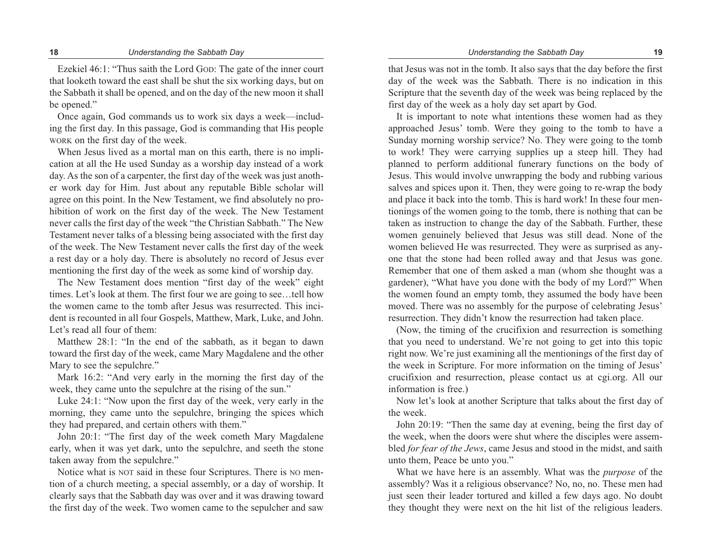#### **18** *Understanding the Sabbath Day Understanding the Sabbath Day* **19**

Ezekiel 46:1: "Thus saith the Lord GOD: The gate of the inner court that looketh toward the east shall be shut the six working days, but on the Sabbath it shall be opened, and on the day of the new moon it shall be opened."

Once again, God commands us to work six days a week—including the first day. In this passage, God is commanding that His people WORK on the first day of the week.

When Jesus lived as a mortal man on this earth, there is no implication at all the He used Sunday as a worship day instead of a work day. As the son of a carpenter, the first day of the week was just another work day for Him. Just about any reputable Bible scholar will agree on this point. In the New Testament, we find absolutely no prohibition of work on the first day of the week. The New Testament never calls the first day of the week "the Christian Sabbath." The New Testament never talks of a blessing being associated with the first day of the week. The New Testament never calls the first day of the week a rest day or a holy day. There is absolutely no record of Jesus ever mentioning the first day of the week as some kind of worship day.

The New Testament does mention "first day of the week" eight times. Let's look at them. The first four we are going to see…tell how the women came to the tomb after Jesus was resurrected. This incident is recounted in all four Gospels, Matthew, Mark, Luke, and John. Let's read all four of them:

Matthew 28:1: "In the end of the sabbath, as it began to dawn toward the first day of the week, came Mary Magdalene and the other Mary to see the sepulchre."

Mark 16:2: "And very early in the morning the first day of the week, they came unto the sepulchre at the rising of the sun."

Luke 24:1: "Now upon the first day of the week, very early in the morning, they came unto the sepulchre, bringing the spices which they had prepared, and certain others with them."

John 20:1: "The first day of the week cometh Mary Magdalene early, when it was yet dark, unto the sepulchre, and seeth the stone taken away from the sepulchre."

Notice what is NOT said in these four Scriptures. There is NO mention of a church meeting, a special assembly, or a day of worship. It clearly says that the Sabbath day was over and it was drawing toward the first day of the week. Two women came to the sepulcher and saw

that Jesus was not in the tomb. It also says that the day before the first day of the week was the Sabbath. There is no indication in this Scripture that the seventh day of the week was being replaced by the first day of the week as a holy day set apart by God.

It is important to note what intentions these women had as they approached Jesus' tomb. Were they going to the tomb to have a Sunday morning worship service? No. They were going to the tomb to work! They were carrying supplies up a steep hill. They had planned to perform additional funerary functions on the body of Jesus. This would involve unwrapping the body and rubbing various salves and spices upon it. Then, they were going to re-wrap the body and place it back into the tomb. This is hard work! In these four mentionings of the women going to the tomb, there is nothing that can be taken as instruction to change the day of the Sabbath. Further, these women genuinely believed that Jesus was still dead. None of the women believed He was resurrected. They were as surprised as anyone that the stone had been rolled away and that Jesus was gone. Remember that one of them asked a man (whom she thought was a gardener), "What have you done with the body of my Lord?" When the women found an empty tomb, they assumed the body have been moved. There was no assembly for the purpose of celebrating Jesus' resurrection. They didn't know the resurrection had taken place.

(Now, the timing of the crucifixion and resurrection is something that you need to understand. We're not going to get into this topic right now. We're just examining all the mentionings of the first day of the week in Scripture. For more information on the timing of Jesus' crucifixion and resurrection, please contact us at cgi.org. All our information is free.)

Now let's look at another Scripture that talks about the first day of the week.

John 20:19: "Then the same day at evening, being the first day of the week, when the doors were shut where the disciples were assembled *for fear of the Jews*, came Jesus and stood in the midst, and saith unto them, Peace be unto you."

What we have here is an assembly. What was the *purpose* of the assembly? Was it a religious observance? No, no, no. These men had just seen their leader tortured and killed a few days ago. No doubt they thought they were next on the hit list of the religious leaders.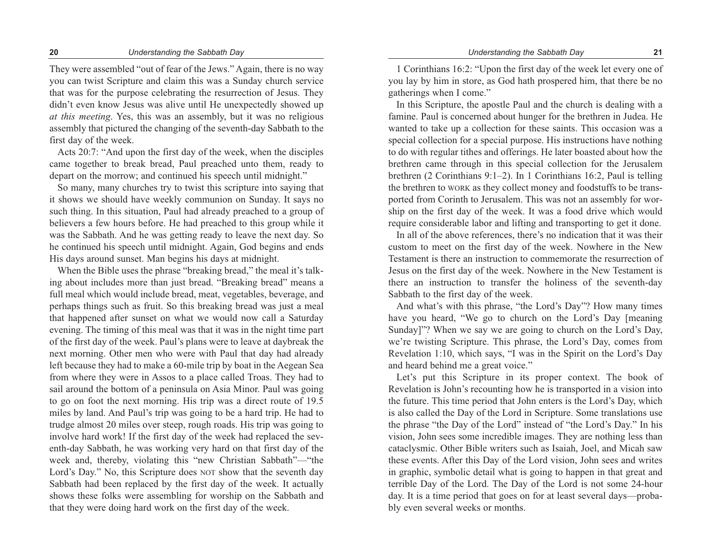They were assembled "out of fear of the Jews." Again, there is no way you can twist Scripture and claim this was a Sunday church service that was for the purpose celebrating the resurrection of Jesus. They didn't even know Jesus was alive until He unexpectedly showed up *at this meeting*. Yes, this was an assembly, but it was no religious assembly that pictured the changing of the seventh-day Sabbath to the first day of the week.

Acts 20:7: "And upon the first day of the week, when the disciples came together to break bread, Paul preached unto them, ready to depart on the morrow; and continued his speech until midnight."

So many, many churches try to twist this scripture into saying that it shows we should have weekly communion on Sunday. It says no such thing. In this situation, Paul had already preached to a group of believers a few hours before. He had preached to this group while it was the Sabbath. And he was getting ready to leave the next day. So he continued his speech until midnight. Again, God begins and ends His days around sunset. Man begins his days at midnight.

When the Bible uses the phrase "breaking bread," the meal it's talking about includes more than just bread. "Breaking bread" means a full meal which would include bread, meat, vegetables, beverage, and perhaps things such as fruit. So this breaking bread was just a meal that happened after sunset on what we would now call a Saturday evening. The timing of this meal was that it was in the night time part of the first day of the week. Paul's plans were to leave at daybreak the next morning. Other men who were with Paul that day had already left because they had to make a 60-mile trip by boat in the Aegean Sea from where they were in Assos to a place called Troas. They had to sail around the bottom of a peninsula on Asia Minor. Paul was going to go on foot the next morning. His trip was a direct route of 19.5 miles by land. And Paul's trip was going to be a hard trip. He had to trudge almost 20 miles over steep, rough roads. His trip was going to involve hard work! If the first day of the week had replaced the seventh-day Sabbath, he was working very hard on that first day of the week and, thereby, violating this "new Christian Sabbath"—"the Lord's Day." No, this Scripture does NOT show that the seventh day Sabbath had been replaced by the first day of the week. It actually shows these folks were assembling for worship on the Sabbath and that they were doing hard work on the first day of the week.

1 Corinthians 16:2: "Upon the first day of the week let every one of you lay by him in store, as God hath prospered him, that there be no gatherings when I come."

In this Scripture, the apostle Paul and the church is dealing with a famine. Paul is concerned about hunger for the brethren in Judea. He wanted to take up a collection for these saints. This occasion was a special collection for a special purpose. His instructions have nothing to do with regular tithes and offerings. He later boasted about how the brethren came through in this special collection for the Jerusalem brethren (2 Corinthians 9:1–2). In 1 Corinthians 16:2, Paul is telling the brethren to WORK as they collect money and foodstuffs to be transported from Corinth to Jerusalem. This was not an assembly for worship on the first day of the week. It was a food drive which would require considerable labor and lifting and transporting to get it done.

In all of the above references, there's no indication that it was their custom to meet on the first day of the week. Nowhere in the New Testament is there an instruction to commemorate the resurrection of Jesus on the first day of the week. Nowhere in the New Testament is there an instruction to transfer the holiness of the seventh-day Sabbath to the first day of the week.

And what's with this phrase, "the Lord's Day"? How many times have you heard, "We go to church on the Lord's Day [meaning Sunday]"? When we say we are going to church on the Lord's Day, we're twisting Scripture. This phrase, the Lord's Day, comes from Revelation 1:10, which says, "I was in the Spirit on the Lord's Day and heard behind me a great voice."

Let's put this Scripture in its proper context. The book of Revelation is John's recounting how he is transported in a vision into the future. This time period that John enters is the Lord's Day, which is also called the Day of the Lord in Scripture. Some translations use the phrase "the Day of the Lord" instead of "the Lord's Day." In his vision, John sees some incredible images. They are nothing less than cataclysmic. Other Bible writers such as Isaiah, Joel, and Micah saw these events. After this Day of the Lord vision, John sees and writes in graphic, symbolic detail what is going to happen in that great and terrible Day of the Lord. The Day of the Lord is not some 24-hour day. It is a time period that goes on for at least several days—probably even several weeks or months.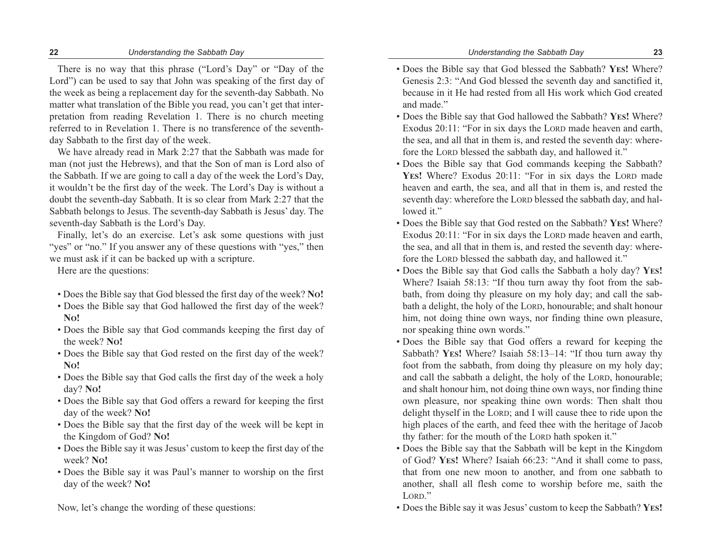There is no way that this phrase ("Lord's Day" or "Day of the Lord") can be used to say that John was speaking of the first day of the week as being a replacement day for the seventh-day Sabbath. No matter what translation of the Bible you read, you can't get that interpretation from reading Revelation 1. There is no church meeting referred to in Revelation 1. There is no transference of the seventhday Sabbath to the first day of the week.

We have already read in Mark 2:27 that the Sabbath was made for man (not just the Hebrews), and that the Son of man is Lord also of the Sabbath. If we are going to call a day of the week the Lord's Day, it wouldn't be the first day of the week. The Lord's Day is without a doubt the seventh-day Sabbath. It is so clear from Mark 2:27 that the Sabbath belongs to Jesus. The seventh-day Sabbath is Jesus' day. The seventh-day Sabbath is the Lord's Day.

Finally, let's do an exercise. Let's ask some questions with just "yes" or "no." If you answer any of these questions with "yes," then we must ask if it can be backed up with a scripture.

Here are the questions:

- Does the Bible say that God blessed the first day of the week? **NO!**
- Does the Bible say that God hallowed the first day of the week? **NO!**
- Does the Bible say that God commands keeping the first day of the week? **NO!**
- Does the Bible say that God rested on the first day of the week? **NO!**
- Does the Bible say that God calls the first day of the week a holy day? **NO!**
- Does the Bible say that God offers a reward for keeping the first day of the week? **NO!**
- Does the Bible say that the first day of the week will be kept in the Kingdom of God? **NO!**
- Does the Bible say it was Jesus' custom to keep the first day of the week? **NO!**
- Does the Bible say it was Paul's manner to worship on the first day of the week? **NO!**

Now, let's change the wording of these questions:

- Does the Bible say that God blessed the Sabbath? **YES!** Where? Genesis 2:3: "And God blessed the seventh day and sanctified it, because in it He had rested from all His work which God created and made."
- Does the Bible say that God hallowed the Sabbath? **YES!** Where? Exodus 20:11: "For in six days the LORD made heaven and earth, the sea, and all that in them is, and rested the seventh day: wherefore the LORD blessed the sabbath day, and hallowed it."
- Does the Bible say that God commands keeping the Sabbath? YES! Where? Exodus 20:11: "For in six days the LORD made heaven and earth, the sea, and all that in them is, and rested the seventh day: wherefore the LORD blessed the sabbath day, and hallowed it."
- Does the Bible say that God rested on the Sabbath? **YES!** Where? Exodus 20:11: "For in six days the LORD made heaven and earth, the sea, and all that in them is, and rested the seventh day: wherefore the LORD blessed the sabbath day, and hallowed it."
- Does the Bible say that God calls the Sabbath a holy day? **YES!** Where? Isaiah 58:13: "If thou turn away thy foot from the sabbath, from doing thy pleasure on my holy day; and call the sabbath a delight, the holy of the LORD, honourable; and shalt honour him, not doing thine own ways, nor finding thine own pleasure, nor speaking thine own words."
- Does the Bible say that God offers a reward for keeping the Sabbath? **YES!** Where? Isaiah 58:13–14: "If thou turn away thy foot from the sabbath, from doing thy pleasure on my holy day; and call the sabbath a delight, the holy of the LORD, honourable; and shalt honour him, not doing thine own ways, nor finding thine own pleasure, nor speaking thine own words: Then shalt thou delight thyself in the LORD; and I will cause thee to ride upon the high places of the earth, and feed thee with the heritage of Jacob thy father: for the mouth of the LORD hath spoken it."
- Does the Bible say that the Sabbath will be kept in the Kingdom of God? **YES!** Where? Isaiah 66:23: "And it shall come to pass, that from one new moon to another, and from one sabbath to another, shall all flesh come to worship before me, saith the LORD."
- Does the Bible say it was Jesus' custom to keep the Sabbath? **YES!**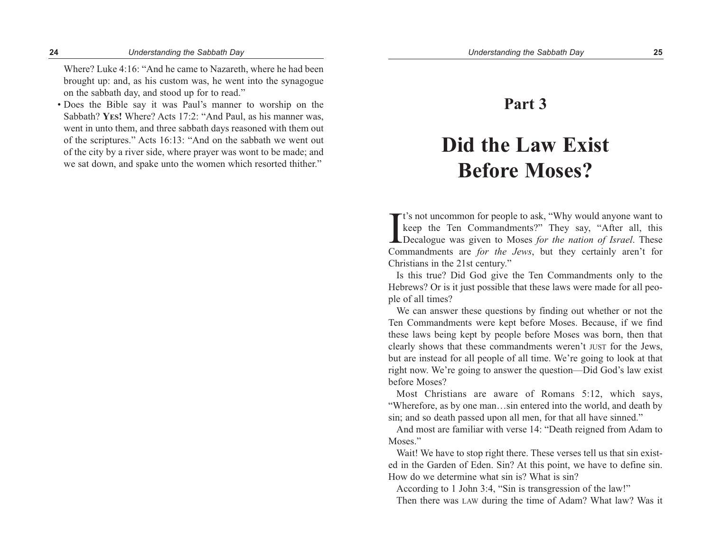Where? Luke 4:16: "And he came to Nazareth, where he had been brought up: and, as his custom was, he went into the synagogue on the sabbath day, and stood up for to read."

• Does the Bible say it was Paul's manner to worship on the Sabbath? **YES!** Where? Acts 17:2: "And Paul, as his manner was, went in unto them, and three sabbath days reasoned with them out of the scriptures." Acts 16:13: "And on the sabbath we went out of the city by a river side, where prayer was wont to be made; and we sat down, and spake unto the women which resorted thither."

## **Part 3**

# **Did the Law Exist Before Moses?**

 $\prod$ **T** t's not uncommon for people to ask, "Why would anyone want to keep the Ten Commandments?" They say, "After all, this Decalogue was given to Moses *for the nation of Israel*. These Commandments are *for the Jews*, but they certainly aren't for Christians in the 21st century."

Is this true? Did God give the Ten Commandments only to the Hebrews? Or is it just possible that these laws were made for all people of all times?

We can answer these questions by finding out whether or not the Ten Commandments were kept before Moses. Because, if we find these laws being kept by people before Moses was born, then that clearly shows that these commandments weren't JUST for the Jews, but are instead for all people of all time. We're going to look at that right now. We're going to answer the question—Did God's law exist before Moses?

Most Christians are aware of Romans 5:12, which says, "Wherefore, as by one man…sin entered into the world, and death by sin; and so death passed upon all men, for that all have sinned."

And most are familiar with verse 14: "Death reigned from Adam to Moses."

Wait! We have to stop right there. These verses tell us that sin existed in the Garden of Eden. Sin? At this point, we have to define sin. How do we determine what sin is? What is sin?

According to 1 John 3:4, "Sin is transgression of the law!" Then there was LAW during the time of Adam? What law? Was it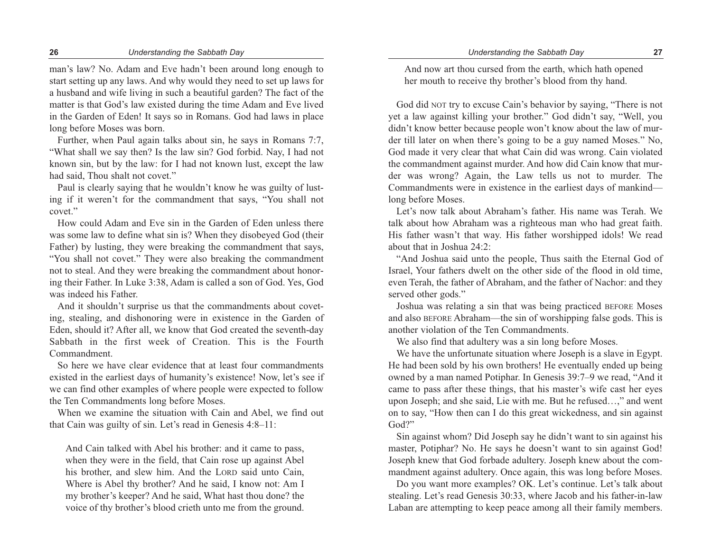man's law? No. Adam and Eve hadn't been around long enough to start setting up any laws. And why would they need to set up laws for a husband and wife living in such a beautiful garden? The fact of the matter is that God's law existed during the time Adam and Eve lived in the Garden of Eden! It says so in Romans. God had laws in place long before Moses was born.

Further, when Paul again talks about sin, he says in Romans 7:7, "What shall we say then? Is the law sin? God forbid. Nay, I had not known sin, but by the law: for I had not known lust, except the law had said, Thou shalt not covet."

Paul is clearly saying that he wouldn't know he was guilty of lusting if it weren't for the commandment that says, "You shall not covet."

How could Adam and Eve sin in the Garden of Eden unless there was some law to define what sin is? When they disobeyed God (their Father) by lusting, they were breaking the commandment that says, "You shall not covet." They were also breaking the commandment not to steal. And they were breaking the commandment about honoring their Father. In Luke 3:38, Adam is called a son of God. Yes, God was indeed his Father.

And it shouldn't surprise us that the commandments about coveting, stealing, and dishonoring were in existence in the Garden of Eden, should it? After all, we know that God created the seventh-day Sabbath in the first week of Creation. This is the Fourth Commandment.

So here we have clear evidence that at least four commandments existed in the earliest days of humanity's existence! Now, let's see if we can find other examples of where people were expected to follow the Ten Commandments long before Moses.

When we examine the situation with Cain and Abel, we find out that Cain was guilty of sin. Let's read in Genesis 4:8–11:

And Cain talked with Abel his brother: and it came to pass, when they were in the field, that Cain rose up against Abel his brother, and slew him. And the LORD said unto Cain, Where is Abel thy brother? And he said, I know not: Am I my brother's keeper? And he said, What hast thou done? the voice of thy brother's blood crieth unto me from the ground.

And now art thou cursed from the earth, which hath opened her mouth to receive thy brother's blood from thy hand.

God did NOT try to excuse Cain's behavior by saying, "There is not yet a law against killing your brother." God didn't say, "Well, you didn't know better because people won't know about the law of murder till later on when there's going to be a guy named Moses." No, God made it very clear that what Cain did was wrong. Cain violated the commandment against murder. And how did Cain know that murder was wrong? Again, the Law tells us not to murder. The Commandments were in existence in the earliest days of mankind long before Moses.

Let's now talk about Abraham's father. His name was Terah. We talk about how Abraham was a righteous man who had great faith. His father wasn't that way. His father worshipped idols! We read about that in Joshua 24:2:

"And Joshua said unto the people, Thus saith the Eternal God of Israel, Your fathers dwelt on the other side of the flood in old time, even Terah, the father of Abraham, and the father of Nachor: and they served other gods."

Joshua was relating a sin that was being practiced BEFORE Moses and also BEFORE Abraham—the sin of worshipping false gods. This is another violation of the Ten Commandments.

We also find that adultery was a sin long before Moses.

We have the unfortunate situation where Joseph is a slave in Egypt. He had been sold by his own brothers! He eventually ended up being owned by a man named Potiphar. In Genesis 39:7–9 we read, "And it came to pass after these things, that his master's wife cast her eyes upon Joseph; and she said, Lie with me. But he refused…," and went on to say, "How then can I do this great wickedness, and sin against God?"

Sin against whom? Did Joseph say he didn't want to sin against his master, Potiphar? No. He says he doesn't want to sin against God! Joseph knew that God forbade adultery. Joseph knew about the commandment against adultery. Once again, this was long before Moses.

Do you want more examples? OK. Let's continue. Let's talk about stealing. Let's read Genesis 30:33, where Jacob and his father-in-law Laban are attempting to keep peace among all their family members.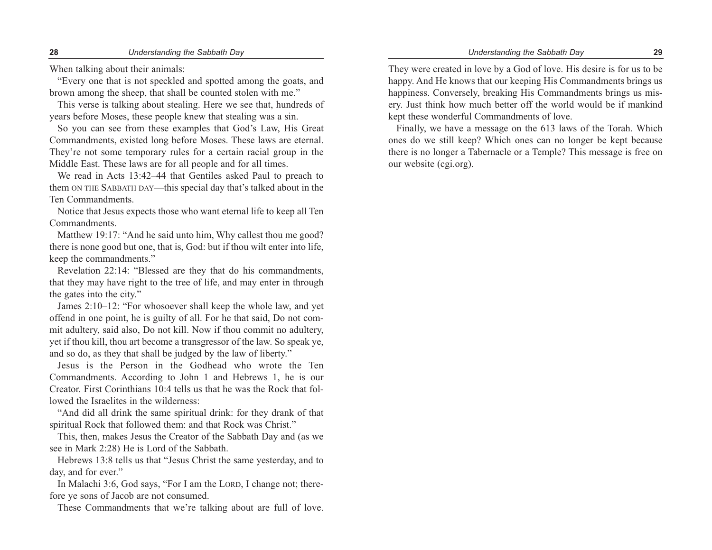When talking about their animals:

"Every one that is not speckled and spotted among the goats, and brown among the sheep, that shall be counted stolen with me."

This verse is talking about stealing. Here we see that, hundreds of years before Moses, these people knew that stealing was a sin.

So you can see from these examples that God's Law, His Great Commandments, existed long before Moses. These laws are eternal. They're not some temporary rules for a certain racial group in the Middle East. These laws are for all people and for all times.

We read in Acts 13:42–44 that Gentiles asked Paul to preach to them ON THE SABBATH DAY—this special day that's talked about in the Ten Commandments.

Notice that Jesus expects those who want eternal life to keep all Ten Commandments.

Matthew 19:17: "And he said unto him, Why callest thou me good? there is none good but one, that is, God: but if thou wilt enter into life, keep the commandments."

Revelation 22:14: "Blessed are they that do his commandments, that they may have right to the tree of life, and may enter in through the gates into the city."

James 2:10–12: "For whosoever shall keep the whole law, and yet offend in one point, he is guilty of all. For he that said, Do not commit adultery, said also, Do not kill. Now if thou commit no adultery, yet if thou kill, thou art become a transgressor of the law. So speak ye, and so do, as they that shall be judged by the law of liberty."

Jesus is the Person in the Godhead who wrote the Ten Commandments. According to John 1 and Hebrews 1, he is our Creator. First Corinthians 10:4 tells us that he was the Rock that followed the Israelites in the wilderness:

"And did all drink the same spiritual drink: for they drank of that spiritual Rock that followed them: and that Rock was Christ."

This, then, makes Jesus the Creator of the Sabbath Day and (as we see in Mark 2:28) He is Lord of the Sabbath.

Hebrews 13:8 tells us that "Jesus Christ the same yesterday, and to day, and for ever."

In Malachi 3:6, God says, "For I am the LORD, I change not; therefore ye sons of Jacob are not consumed.

These Commandments that we're talking about are full of love.

They were created in love by a God of love. His desire is for us to be happy. And He knows that our keeping His Commandments brings us happiness. Conversely, breaking His Commandments brings us misery. Just think how much better off the world would be if mankind kept these wonderful Commandments of love.

Finally, we have a message on the 613 laws of the Torah. Which ones do we still keep? Which ones can no longer be kept because there is no longer a Tabernacle or a Temple? This message is free on our website (cgi.org).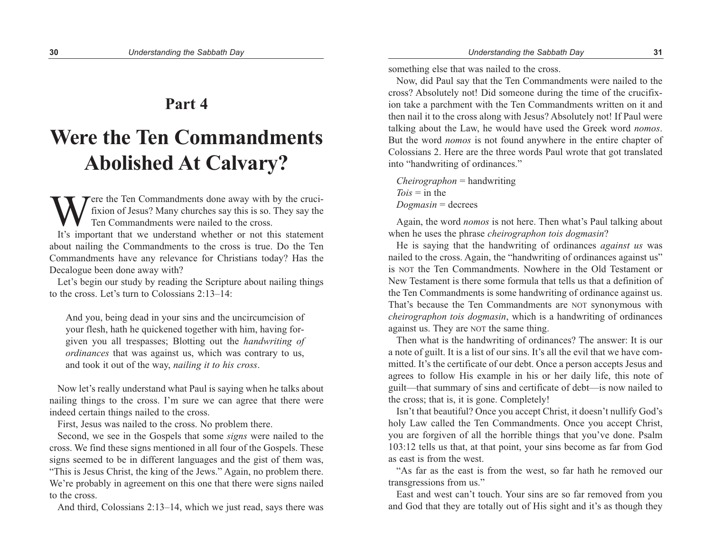### **Part 4**

# **Were the Ten Commandments Abolished At Calvary?**

Were the Ten Commandments done away with by the cruci-<br>fixion of Jesus? Many churches say this is so. They say the<br>Ten Commandments were nailed to the cross.<br>It's important that we understand whether or not this statement fixion of Jesus? Many churches say this is so. They say the Ten Commandments were nailed to the cross.

It's important that we understand whether or not this statement about nailing the Commandments to the cross is true. Do the Ten Commandments have any relevance for Christians today? Has the Decalogue been done away with?

Let's begin our study by reading the Scripture about nailing things to the cross. Let's turn to Colossians 2:13–14:

And you, being dead in your sins and the uncircumcision of your flesh, hath he quickened together with him, having forgiven you all trespasses; Blotting out the *handwriting of ordinances* that was against us, which was contrary to us, and took it out of the way, *nailing it to his cross*.

Now let's really understand what Paul is saying when he talks about nailing things to the cross. I'm sure we can agree that there were indeed certain things nailed to the cross.

First, Jesus was nailed to the cross. No problem there.

Second, we see in the Gospels that some *signs* were nailed to the cross. We find these signs mentioned in all four of the Gospels. These signs seemed to be in different languages and the gist of them was, "This is Jesus Christ, the king of the Jews." Again, no problem there. We're probably in agreement on this one that there were signs nailed to the cross.

And third, Colossians 2:13–14, which we just read, says there was

something else that was nailed to the cross.

Now, did Paul say that the Ten Commandments were nailed to the cross? Absolutely not! Did someone during the time of the crucifixion take a parchment with the Ten Commandments written on it and then nail it to the cross along with Jesus? Absolutely not! If Paul were talking about the Law, he would have used the Greek word *nomos*. But the word *nomos* is not found anywhere in the entire chapter of Colossians 2. Here are the three words Paul wrote that got translated into "handwriting of ordinances."

*Cheirographon* = handwriting *Tois* = in the *Dogmasin* = decrees

Again, the word *nomos* is not here. Then what's Paul talking about when he uses the phrase *cheirographon tois dogmasin*?

He is saying that the handwriting of ordinances *against us* was nailed to the cross. Again, the "handwriting of ordinances against us" is NOT the Ten Commandments. Nowhere in the Old Testament or New Testament is there some formula that tells us that a definition of the Ten Commandments is some handwriting of ordinance against us. That's because the Ten Commandments are NOT synonymous with *cheirographon tois dogmasin*, which is a handwriting of ordinances against us. They are NOT the same thing.

Then what is the handwriting of ordinances? The answer: It is our a note of guilt. It is a list of our sins. It's all the evil that we have committed. It's the certificate of our debt. Once a person accepts Jesus and agrees to follow His example in his or her daily life, this note of guilt—that summary of sins and certificate of debt—is now nailed to the cross; that is, it is gone. Completely!

Isn't that beautiful? Once you accept Christ, it doesn't nullify God's holy Law called the Ten Commandments. Once you accept Christ, you are forgiven of all the horrible things that you've done. Psalm 103:12 tells us that, at that point, your sins become as far from God as east is from the west.

"As far as the east is from the west, so far hath he removed our transgressions from us."

East and west can't touch. Your sins are so far removed from you and God that they are totally out of His sight and it's as though they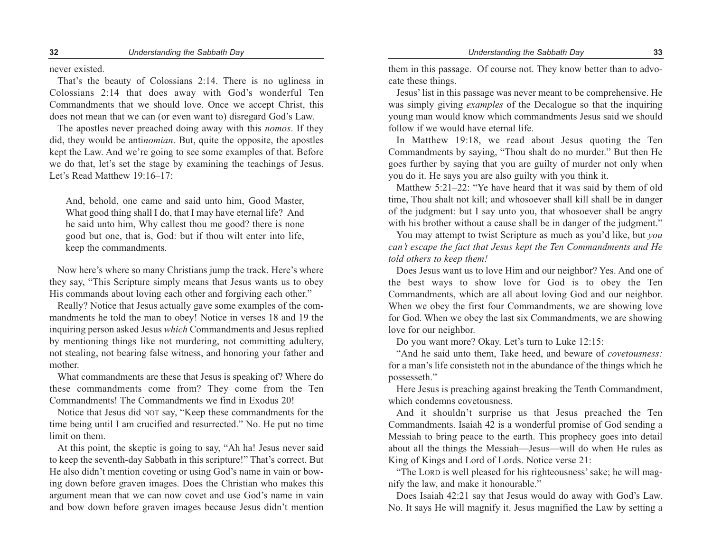never existed.

That's the beauty of Colossians 2:14. There is no ugliness in Colossians 2:14 that does away with God's wonderful Ten Commandments that we should love. Once we accept Christ, this does not mean that we can (or even want to) disregard God's Law.

The apostles never preached doing away with this *nomos*. If they did, they would be anti*nomian*. But, quite the opposite, the apostles kept the Law. And we're going to see some examples of that. Before we do that, let's set the stage by examining the teachings of Jesus. Let's Read Matthew 19:16–17:

And, behold, one came and said unto him, Good Master, What good thing shall I do, that I may have eternal life? And he said unto him, Why callest thou me good? there is none good but one, that is, God: but if thou wilt enter into life, keep the commandments.

Now here's where so many Christians jump the track. Here's where they say, "This Scripture simply means that Jesus wants us to obey His commands about loving each other and forgiving each other."

Really? Notice that Jesus actually gave some examples of the commandments he told the man to obey! Notice in verses 18 and 19 the inquiring person asked Jesus *which* Commandments and Jesus replied by mentioning things like not murdering, not committing adultery, not stealing, not bearing false witness, and honoring your father and mother.

What commandments are these that Jesus is speaking of? Where do these commandments come from? They come from the Ten Commandments! The Commandments we find in Exodus 20!

Notice that Jesus did NOT say, "Keep these commandments for the time being until I am crucified and resurrected." No. He put no time limit on them.

At this point, the skeptic is going to say, "Ah ha! Jesus never said to keep the seventh-day Sabbath in this scripture!" That's correct. But He also didn't mention coveting or using God's name in vain or bowing down before graven images. Does the Christian who makes this argument mean that we can now covet and use God's name in vain and bow down before graven images because Jesus didn't mention

them in this passage. Of course not. They know better than to advocate these things.

Jesus'list in this passage was never meant to be comprehensive. He was simply giving *examples* of the Decalogue so that the inquiring young man would know which commandments Jesus said we should follow if we would have eternal life.

In Matthew 19:18, we read about Jesus quoting the Ten Commandments by saying, "Thou shalt do no murder." But then He goes further by saying that you are guilty of murder not only when you do it. He says you are also guilty with you think it.

Matthew 5:21–22: "Ye have heard that it was said by them of old time, Thou shalt not kill; and whosoever shall kill shall be in danger of the judgment: but I say unto you, that whosoever shall be angry with his brother without a cause shall be in danger of the judgment."

You may attempt to twist Scripture as much as you'd like, but *you can't escape the fact that Jesus kept the Ten Commandments and He told others to keep them!*

Does Jesus want us to love Him and our neighbor? Yes. And one of the best ways to show love for God is to obey the Ten Commandments, which are all about loving God and our neighbor. When we obey the first four Commandments, we are showing love for God. When we obey the last six Commandments, we are showing love for our neighbor.

Do you want more? Okay. Let's turn to Luke 12:15:

"And he said unto them, Take heed, and beware of *covetousness:* for a man's life consisteth not in the abundance of the things which he possesseth."

Here Jesus is preaching against breaking the Tenth Commandment, which condemns covetousness.

And it shouldn't surprise us that Jesus preached the Ten Commandments. Isaiah 42 is a wonderful promise of God sending a Messiah to bring peace to the earth. This prophecy goes into detail about all the things the Messiah—Jesus—will do when He rules as King of Kings and Lord of Lords. Notice verse 21:

"The LORD is well pleased for his righteousness'sake; he will magnify the law, and make it honourable."

Does Isaiah 42:21 say that Jesus would do away with God's Law. No. It says He will magnify it. Jesus magnified the Law by setting a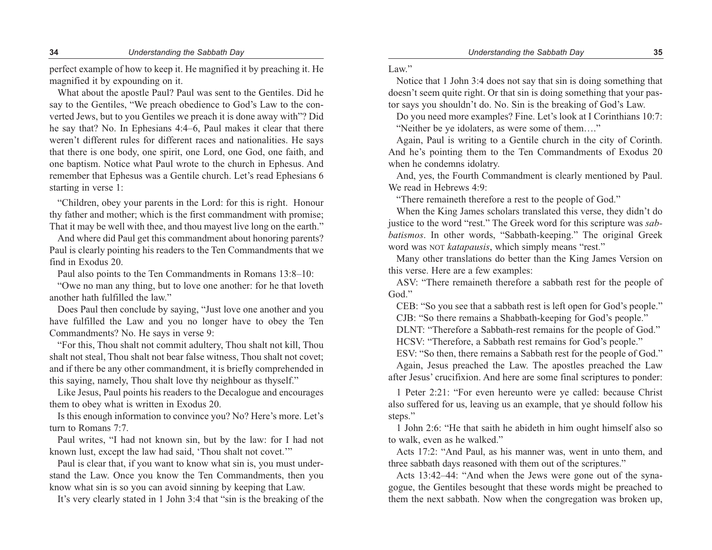perfect example of how to keep it. He magnified it by preaching it. He magnified it by expounding on it.

What about the apostle Paul? Paul was sent to the Gentiles. Did he say to the Gentiles, "We preach obedience to God's Law to the converted Jews, but to you Gentiles we preach it is done away with"? Did he say that? No. In Ephesians 4:4–6, Paul makes it clear that there weren't different rules for different races and nationalities. He says that there is one body, one spirit, one Lord, one God, one faith, and one baptism. Notice what Paul wrote to the church in Ephesus. And remember that Ephesus was a Gentile church. Let's read Ephesians 6 starting in verse 1:

"Children, obey your parents in the Lord: for this is right. Honour thy father and mother; which is the first commandment with promise; That it may be well with thee, and thou mayest live long on the earth."

And where did Paul get this commandment about honoring parents? Paul is clearly pointing his readers to the Ten Commandments that we find in Exodus 20.

Paul also points to the Ten Commandments in Romans 13:8–10:

"Owe no man any thing, but to love one another: for he that loveth another hath fulfilled the law."

Does Paul then conclude by saying, "Just love one another and you have fulfilled the Law and you no longer have to obey the Ten Commandments? No. He says in verse 9:

"For this, Thou shalt not commit adultery, Thou shalt not kill, Thou shalt not steal, Thou shalt not bear false witness, Thou shalt not covet; and if there be any other commandment, it is briefly comprehended in this saying, namely, Thou shalt love thy neighbour as thyself."

Like Jesus, Paul points his readers to the Decalogue and encourages them to obey what is written in Exodus 20.

Is this enough information to convince you? No? Here's more. Let's turn to Romans 7:7.

Paul writes, "I had not known sin, but by the law: for I had not known lust, except the law had said, 'Thou shalt not covet.'"

Paul is clear that, if you want to know what sin is, you must understand the Law. Once you know the Ten Commandments, then you know what sin is so you can avoid sinning by keeping that Law.

It's very clearly stated in 1 John 3:4 that "sin is the breaking of the

Law."

Notice that 1 John 3:4 does not say that sin is doing something that doesn't seem quite right. Or that sin is doing something that your pastor says you shouldn't do. No. Sin is the breaking of God's Law.

Do you need more examples? Fine. Let's look at I Corinthians 10:7: "Neither be ye idolaters, as were some of them…."

Again, Paul is writing to a Gentile church in the city of Corinth. And he's pointing them to the Ten Commandments of Exodus 20 when he condemns idolatry.

And, yes, the Fourth Commandment is clearly mentioned by Paul. We read in Hebrews 4:9:

"There remaineth therefore a rest to the people of God."

When the King James scholars translated this verse, they didn't do justice to the word "rest." The Greek word for this scripture was *sabbatismos*. In other words, "Sabbath-keeping." The original Greek word was NOT *katapausis*, which simply means "rest."

Many other translations do better than the King James Version on this verse. Here are a few examples:

ASV: "There remaineth therefore a sabbath rest for the people of God."

CEB: "So you see that a sabbath rest is left open for God's people." CJB: "So there remains a Shabbath-keeping for God's people."

DLNT: "Therefore a Sabbath-rest remains for the people of God."

HCSV: "Therefore, a Sabbath rest remains for God's people."

ESV: "So then, there remains a Sabbath rest for the people of God."

Again, Jesus preached the Law. The apostles preached the Law after Jesus' crucifixion. And here are some final scriptures to ponder:

1 Peter 2:21: "For even hereunto were ye called: because Christ also suffered for us, leaving us an example, that ye should follow his steps."

1 John 2:6: "He that saith he abideth in him ought himself also so to walk, even as he walked."

Acts 17:2: "And Paul, as his manner was, went in unto them, and three sabbath days reasoned with them out of the scriptures."

Acts 13:42–44: "And when the Jews were gone out of the synagogue, the Gentiles besought that these words might be preached to them the next sabbath. Now when the congregation was broken up,